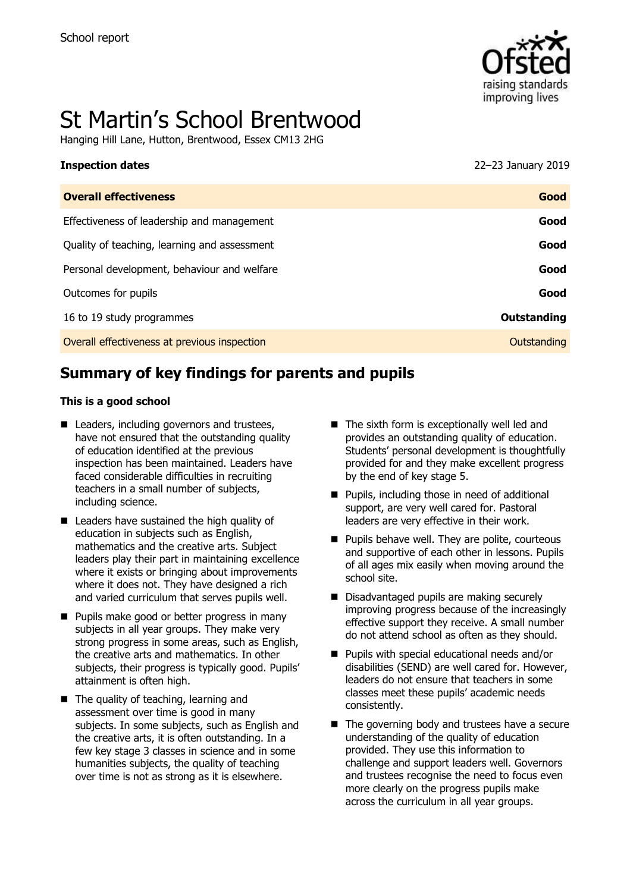

# St Martin's School Brentwood

Hanging Hill Lane, Hutton, Brentwood, Essex CM13 2HG

| <b>Inspection dates</b>                      | 22-23 January 2019 |
|----------------------------------------------|--------------------|
| <b>Overall effectiveness</b>                 | Good               |
| Effectiveness of leadership and management   | Good               |
| Quality of teaching, learning and assessment | Good               |
| Personal development, behaviour and welfare  | Good               |
| Outcomes for pupils                          | Good               |
| 16 to 19 study programmes                    | Outstanding        |
| Overall effectiveness at previous inspection | Outstanding        |
|                                              |                    |

# **Summary of key findings for parents and pupils**

#### **This is a good school**

- Leaders, including governors and trustees, have not ensured that the outstanding quality of education identified at the previous inspection has been maintained. Leaders have faced considerable difficulties in recruiting teachers in a small number of subjects, including science.
- Leaders have sustained the high quality of education in subjects such as English, mathematics and the creative arts. Subject leaders play their part in maintaining excellence where it exists or bringing about improvements where it does not. They have designed a rich and varied curriculum that serves pupils well.
- **Pupils make good or better progress in many** subjects in all year groups. They make very strong progress in some areas, such as English, the creative arts and mathematics. In other subjects, their progress is typically good. Pupils' attainment is often high.
- $\blacksquare$  The quality of teaching, learning and assessment over time is good in many subjects. In some subjects, such as English and the creative arts, it is often outstanding. In a few key stage 3 classes in science and in some humanities subjects, the quality of teaching over time is not as strong as it is elsewhere.
- The sixth form is exceptionally well led and provides an outstanding quality of education. Students' personal development is thoughtfully provided for and they make excellent progress by the end of key stage 5.
- **Pupils, including those in need of additional** support, are very well cared for. Pastoral leaders are very effective in their work.
- $\blacksquare$  Pupils behave well. They are polite, courteous and supportive of each other in lessons. Pupils of all ages mix easily when moving around the school site.
- Disadvantaged pupils are making securely improving progress because of the increasingly effective support they receive. A small number do not attend school as often as they should.
- Pupils with special educational needs and/or disabilities (SEND) are well cared for. However, leaders do not ensure that teachers in some classes meet these pupils' academic needs consistently.
- The governing body and trustees have a secure understanding of the quality of education provided. They use this information to challenge and support leaders well. Governors and trustees recognise the need to focus even more clearly on the progress pupils make across the curriculum in all year groups.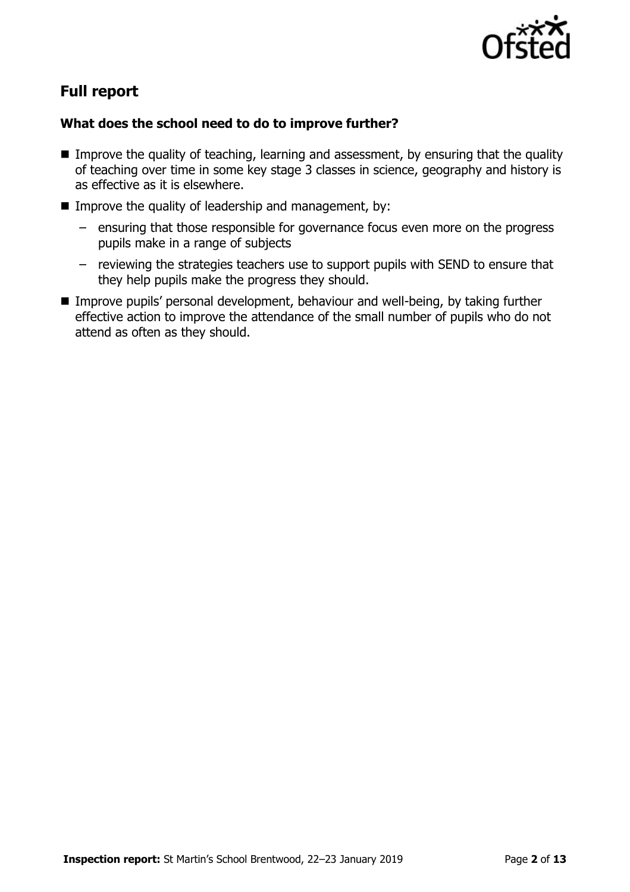

# **Full report**

### **What does the school need to do to improve further?**

- Improve the quality of teaching, learning and assessment, by ensuring that the quality of teaching over time in some key stage 3 classes in science, geography and history is as effective as it is elsewhere.
- Improve the quality of leadership and management, by:
	- ensuring that those responsible for governance focus even more on the progress pupils make in a range of subjects
	- reviewing the strategies teachers use to support pupils with SEND to ensure that they help pupils make the progress they should.
- Improve pupils' personal development, behaviour and well-being, by taking further effective action to improve the attendance of the small number of pupils who do not attend as often as they should.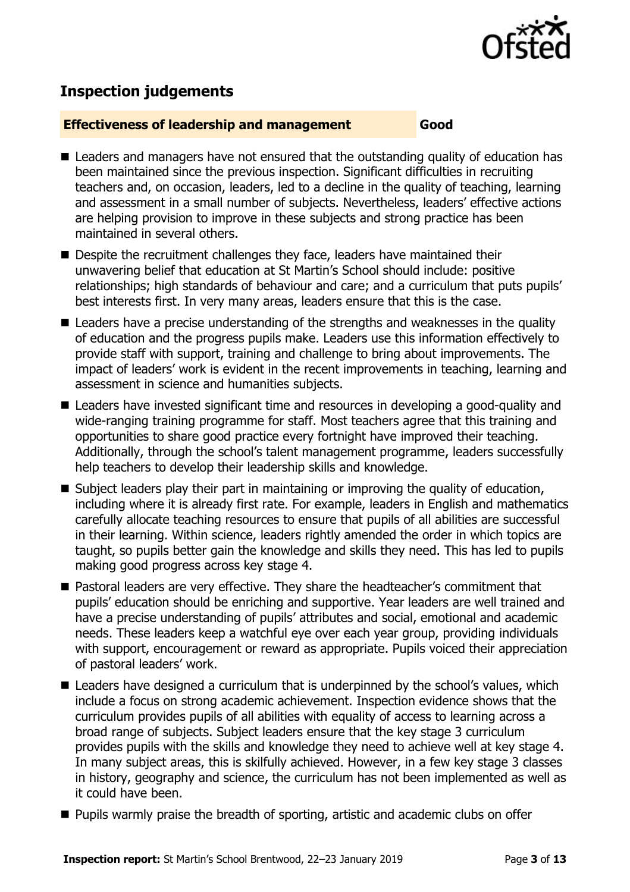

# **Inspection judgements**

#### **Effectiveness of leadership and management Good**

- Leaders and managers have not ensured that the outstanding quality of education has been maintained since the previous inspection. Significant difficulties in recruiting teachers and, on occasion, leaders, led to a decline in the quality of teaching, learning and assessment in a small number of subjects. Nevertheless, leaders' effective actions are helping provision to improve in these subjects and strong practice has been maintained in several others.
- Despite the recruitment challenges they face, leaders have maintained their unwavering belief that education at St Martin's School should include: positive relationships; high standards of behaviour and care; and a curriculum that puts pupils' best interests first. In very many areas, leaders ensure that this is the case.
- Leaders have a precise understanding of the strengths and weaknesses in the quality of education and the progress pupils make. Leaders use this information effectively to provide staff with support, training and challenge to bring about improvements. The impact of leaders' work is evident in the recent improvements in teaching, learning and assessment in science and humanities subjects.
- Leaders have invested significant time and resources in developing a good-quality and wide-ranging training programme for staff. Most teachers agree that this training and opportunities to share good practice every fortnight have improved their teaching. Additionally, through the school's talent management programme, leaders successfully help teachers to develop their leadership skills and knowledge.
- Subject leaders play their part in maintaining or improving the quality of education, including where it is already first rate. For example, leaders in English and mathematics carefully allocate teaching resources to ensure that pupils of all abilities are successful in their learning. Within science, leaders rightly amended the order in which topics are taught, so pupils better gain the knowledge and skills they need. This has led to pupils making good progress across key stage 4.
- Pastoral leaders are very effective. They share the headteacher's commitment that pupils' education should be enriching and supportive. Year leaders are well trained and have a precise understanding of pupils' attributes and social, emotional and academic needs. These leaders keep a watchful eye over each year group, providing individuals with support, encouragement or reward as appropriate. Pupils voiced their appreciation of pastoral leaders' work.
- Leaders have designed a curriculum that is underpinned by the school's values, which include a focus on strong academic achievement. Inspection evidence shows that the curriculum provides pupils of all abilities with equality of access to learning across a broad range of subjects. Subject leaders ensure that the key stage 3 curriculum provides pupils with the skills and knowledge they need to achieve well at key stage 4. In many subject areas, this is skilfully achieved. However, in a few key stage 3 classes in history, geography and science, the curriculum has not been implemented as well as it could have been.
- **Pupils warmly praise the breadth of sporting, artistic and academic clubs on offer**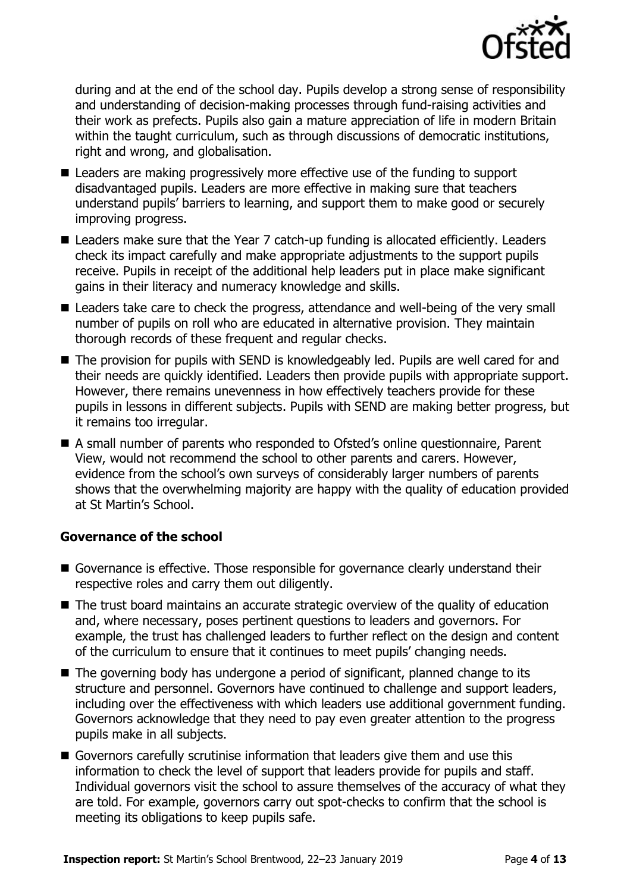

during and at the end of the school day. Pupils develop a strong sense of responsibility and understanding of decision-making processes through fund-raising activities and their work as prefects. Pupils also gain a mature appreciation of life in modern Britain within the taught curriculum, such as through discussions of democratic institutions, right and wrong, and globalisation.

- Leaders are making progressively more effective use of the funding to support disadvantaged pupils. Leaders are more effective in making sure that teachers understand pupils' barriers to learning, and support them to make good or securely improving progress.
- Leaders make sure that the Year 7 catch-up funding is allocated efficiently. Leaders check its impact carefully and make appropriate adjustments to the support pupils receive. Pupils in receipt of the additional help leaders put in place make significant gains in their literacy and numeracy knowledge and skills.
- Leaders take care to check the progress, attendance and well-being of the very small number of pupils on roll who are educated in alternative provision. They maintain thorough records of these frequent and regular checks.
- The provision for pupils with SEND is knowledgeably led. Pupils are well cared for and their needs are quickly identified. Leaders then provide pupils with appropriate support. However, there remains unevenness in how effectively teachers provide for these pupils in lessons in different subjects. Pupils with SEND are making better progress, but it remains too irregular.
- A small number of parents who responded to Ofsted's online questionnaire, Parent View, would not recommend the school to other parents and carers. However, evidence from the school's own surveys of considerably larger numbers of parents shows that the overwhelming majority are happy with the quality of education provided at St Martin's School.

### **Governance of the school**

- Governance is effective. Those responsible for governance clearly understand their respective roles and carry them out diligently.
- The trust board maintains an accurate strategic overview of the quality of education and, where necessary, poses pertinent questions to leaders and governors. For example, the trust has challenged leaders to further reflect on the design and content of the curriculum to ensure that it continues to meet pupils' changing needs.
- The governing body has undergone a period of significant, planned change to its structure and personnel. Governors have continued to challenge and support leaders, including over the effectiveness with which leaders use additional government funding. Governors acknowledge that they need to pay even greater attention to the progress pupils make in all subjects.
- Governors carefully scrutinise information that leaders give them and use this information to check the level of support that leaders provide for pupils and staff. Individual governors visit the school to assure themselves of the accuracy of what they are told. For example, governors carry out spot-checks to confirm that the school is meeting its obligations to keep pupils safe.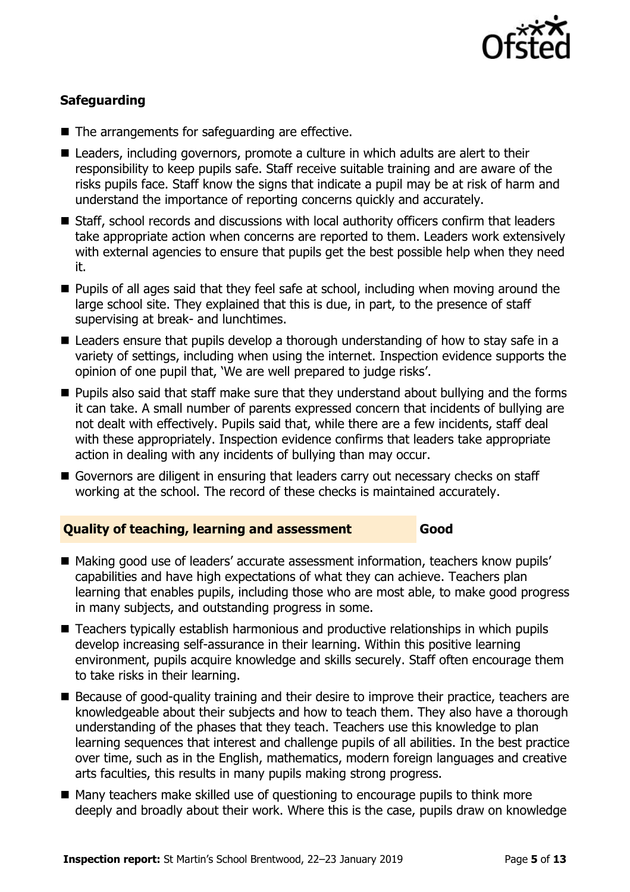

### **Safeguarding**

- The arrangements for safeguarding are effective.
- Leaders, including governors, promote a culture in which adults are alert to their responsibility to keep pupils safe. Staff receive suitable training and are aware of the risks pupils face. Staff know the signs that indicate a pupil may be at risk of harm and understand the importance of reporting concerns quickly and accurately.
- Staff, school records and discussions with local authority officers confirm that leaders take appropriate action when concerns are reported to them. Leaders work extensively with external agencies to ensure that pupils get the best possible help when they need it.
- **Pupils of all ages said that they feel safe at school, including when moving around the** large school site. They explained that this is due, in part, to the presence of staff supervising at break- and lunchtimes.
- Leaders ensure that pupils develop a thorough understanding of how to stay safe in a variety of settings, including when using the internet. Inspection evidence supports the opinion of one pupil that, 'We are well prepared to judge risks'.
- **Pupils also said that staff make sure that they understand about bullying and the forms** it can take. A small number of parents expressed concern that incidents of bullying are not dealt with effectively. Pupils said that, while there are a few incidents, staff deal with these appropriately. Inspection evidence confirms that leaders take appropriate action in dealing with any incidents of bullying than may occur.
- Governors are diligent in ensuring that leaders carry out necessary checks on staff working at the school. The record of these checks is maintained accurately.

### **Quality of teaching, learning and assessment Good**

- Making good use of leaders' accurate assessment information, teachers know pupils' capabilities and have high expectations of what they can achieve. Teachers plan learning that enables pupils, including those who are most able, to make good progress in many subjects, and outstanding progress in some.
- Teachers typically establish harmonious and productive relationships in which pupils develop increasing self-assurance in their learning. Within this positive learning environment, pupils acquire knowledge and skills securely. Staff often encourage them to take risks in their learning.
- Because of good-quality training and their desire to improve their practice, teachers are knowledgeable about their subjects and how to teach them. They also have a thorough understanding of the phases that they teach. Teachers use this knowledge to plan learning sequences that interest and challenge pupils of all abilities. In the best practice over time, such as in the English, mathematics, modern foreign languages and creative arts faculties, this results in many pupils making strong progress.
- Many teachers make skilled use of questioning to encourage pupils to think more deeply and broadly about their work. Where this is the case, pupils draw on knowledge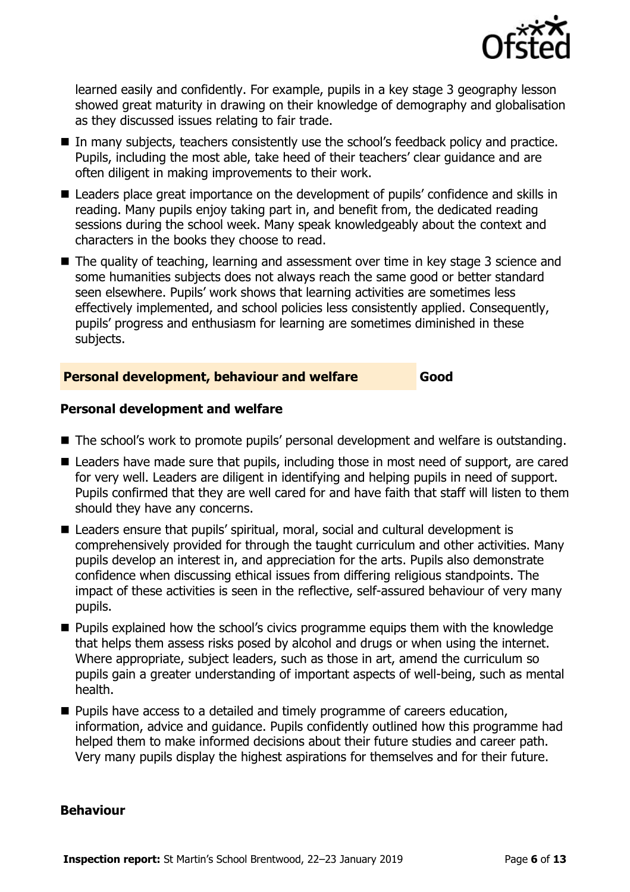

learned easily and confidently. For example, pupils in a key stage 3 geography lesson showed great maturity in drawing on their knowledge of demography and globalisation as they discussed issues relating to fair trade.

- In many subjects, teachers consistently use the school's feedback policy and practice. Pupils, including the most able, take heed of their teachers' clear guidance and are often diligent in making improvements to their work.
- Leaders place great importance on the development of pupils' confidence and skills in reading. Many pupils enjoy taking part in, and benefit from, the dedicated reading sessions during the school week. Many speak knowledgeably about the context and characters in the books they choose to read.
- The quality of teaching, learning and assessment over time in key stage 3 science and some humanities subjects does not always reach the same good or better standard seen elsewhere. Pupils' work shows that learning activities are sometimes less effectively implemented, and school policies less consistently applied. Consequently, pupils' progress and enthusiasm for learning are sometimes diminished in these subjects.

#### **Personal development, behaviour and welfare Good**

#### **Personal development and welfare**

- The school's work to promote pupils' personal development and welfare is outstanding.
- Leaders have made sure that pupils, including those in most need of support, are cared for very well. Leaders are diligent in identifying and helping pupils in need of support. Pupils confirmed that they are well cared for and have faith that staff will listen to them should they have any concerns.
- Leaders ensure that pupils' spiritual, moral, social and cultural development is comprehensively provided for through the taught curriculum and other activities. Many pupils develop an interest in, and appreciation for the arts. Pupils also demonstrate confidence when discussing ethical issues from differing religious standpoints. The impact of these activities is seen in the reflective, self-assured behaviour of very many pupils.
- **Pupils explained how the school's civics programme equips them with the knowledge** that helps them assess risks posed by alcohol and drugs or when using the internet. Where appropriate, subject leaders, such as those in art, amend the curriculum so pupils gain a greater understanding of important aspects of well-being, such as mental health.
- **Pupils have access to a detailed and timely programme of careers education,** information, advice and guidance. Pupils confidently outlined how this programme had helped them to make informed decisions about their future studies and career path. Very many pupils display the highest aspirations for themselves and for their future.

#### **Behaviour**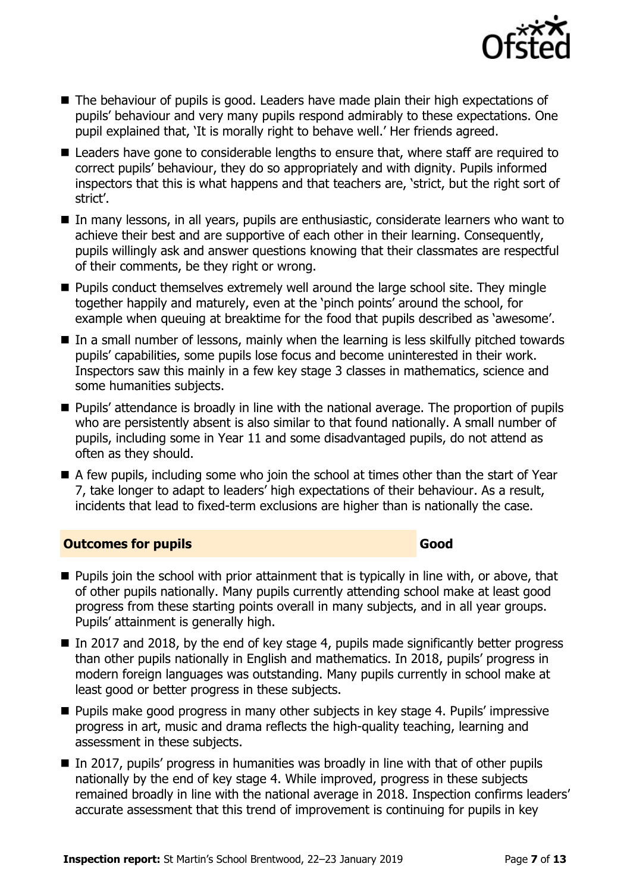

- The behaviour of pupils is good. Leaders have made plain their high expectations of pupils' behaviour and very many pupils respond admirably to these expectations. One pupil explained that, 'It is morally right to behave well.' Her friends agreed.
- Leaders have gone to considerable lengths to ensure that, where staff are required to correct pupils' behaviour, they do so appropriately and with dignity. Pupils informed inspectors that this is what happens and that teachers are, 'strict, but the right sort of strict'.
- In many lessons, in all years, pupils are enthusiastic, considerate learners who want to achieve their best and are supportive of each other in their learning. Consequently, pupils willingly ask and answer questions knowing that their classmates are respectful of their comments, be they right or wrong.
- **Pupils conduct themselves extremely well around the large school site. They mingle** together happily and maturely, even at the 'pinch points' around the school, for example when queuing at breaktime for the food that pupils described as 'awesome'.
- In a small number of lessons, mainly when the learning is less skilfully pitched towards pupils' capabilities, some pupils lose focus and become uninterested in their work. Inspectors saw this mainly in a few key stage 3 classes in mathematics, science and some humanities subjects.
- **Pupils' attendance is broadly in line with the national average. The proportion of pupils** who are persistently absent is also similar to that found nationally. A small number of pupils, including some in Year 11 and some disadvantaged pupils, do not attend as often as they should.
- A few pupils, including some who join the school at times other than the start of Year 7, take longer to adapt to leaders' high expectations of their behaviour. As a result, incidents that lead to fixed-term exclusions are higher than is nationally the case.

### **Outcomes for pupils Good Good**

- **Pupils join the school with prior attainment that is typically in line with, or above, that** of other pupils nationally. Many pupils currently attending school make at least good progress from these starting points overall in many subjects, and in all year groups. Pupils' attainment is generally high.
- In 2017 and 2018, by the end of key stage 4, pupils made significantly better progress than other pupils nationally in English and mathematics. In 2018, pupils' progress in modern foreign languages was outstanding. Many pupils currently in school make at least good or better progress in these subjects.
- **Pupils make good progress in many other subjects in key stage 4. Pupils' impressive** progress in art, music and drama reflects the high-quality teaching, learning and assessment in these subjects.
- $\blacksquare$  In 2017, pupils' progress in humanities was broadly in line with that of other pupils nationally by the end of key stage 4. While improved, progress in these subjects remained broadly in line with the national average in 2018. Inspection confirms leaders' accurate assessment that this trend of improvement is continuing for pupils in key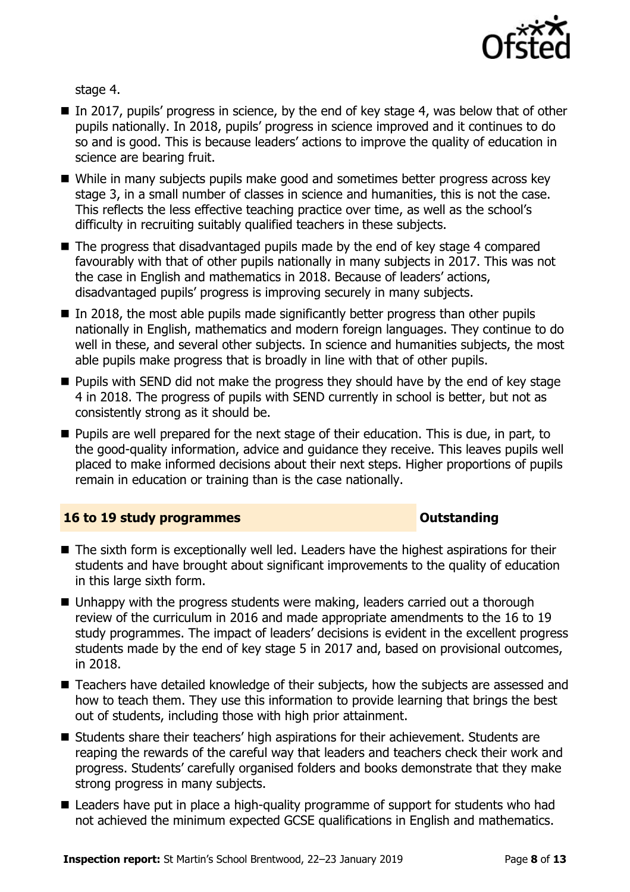

stage 4.

- In 2017, pupils' progress in science, by the end of key stage 4, was below that of other pupils nationally. In 2018, pupils' progress in science improved and it continues to do so and is good. This is because leaders' actions to improve the quality of education in science are bearing fruit.
- While in many subjects pupils make good and sometimes better progress across key stage 3, in a small number of classes in science and humanities, this is not the case. This reflects the less effective teaching practice over time, as well as the school's difficulty in recruiting suitably qualified teachers in these subjects.
- The progress that disadvantaged pupils made by the end of key stage 4 compared favourably with that of other pupils nationally in many subjects in 2017. This was not the case in English and mathematics in 2018. Because of leaders' actions, disadvantaged pupils' progress is improving securely in many subjects.
- $\blacksquare$  In 2018, the most able pupils made significantly better progress than other pupils nationally in English, mathematics and modern foreign languages. They continue to do well in these, and several other subjects. In science and humanities subjects, the most able pupils make progress that is broadly in line with that of other pupils.
- **Pupils with SEND did not make the progress they should have by the end of key stage** 4 in 2018. The progress of pupils with SEND currently in school is better, but not as consistently strong as it should be.
- **Pupils are well prepared for the next stage of their education. This is due, in part, to** the good-quality information, advice and guidance they receive. This leaves pupils well placed to make informed decisions about their next steps. Higher proportions of pupils remain in education or training than is the case nationally.

### **16 to 19 study programmes COVID-16 to 19 study programmes**

- The sixth form is exceptionally well led. Leaders have the highest aspirations for their students and have brought about significant improvements to the quality of education in this large sixth form.
- Unhappy with the progress students were making, leaders carried out a thorough review of the curriculum in 2016 and made appropriate amendments to the 16 to 19 study programmes. The impact of leaders' decisions is evident in the excellent progress students made by the end of key stage 5 in 2017 and, based on provisional outcomes, in 2018.
- Teachers have detailed knowledge of their subjects, how the subjects are assessed and how to teach them. They use this information to provide learning that brings the best out of students, including those with high prior attainment.
- Students share their teachers' high aspirations for their achievement. Students are reaping the rewards of the careful way that leaders and teachers check their work and progress. Students' carefully organised folders and books demonstrate that they make strong progress in many subjects.
- Leaders have put in place a high-quality programme of support for students who had not achieved the minimum expected GCSE qualifications in English and mathematics.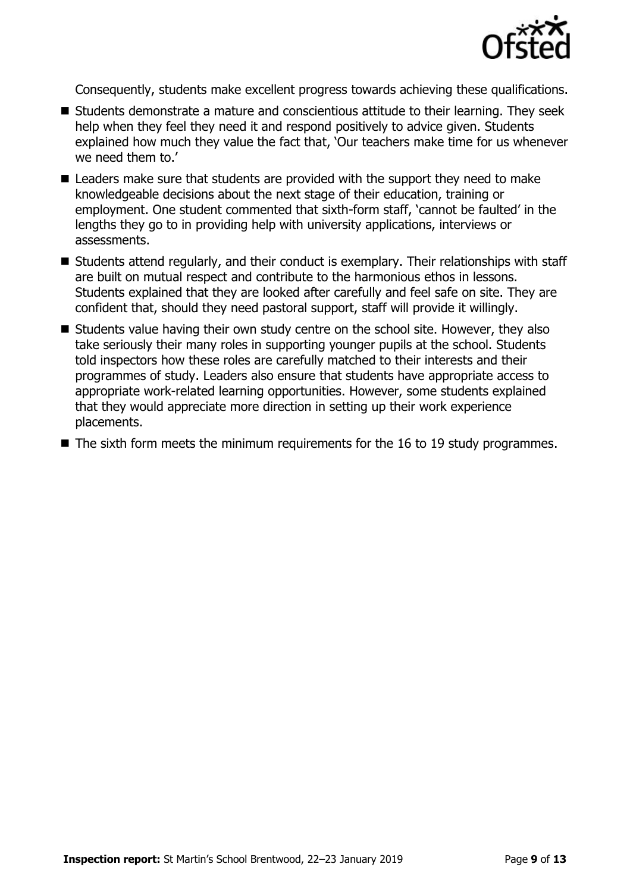

Consequently, students make excellent progress towards achieving these qualifications.

- Students demonstrate a mature and conscientious attitude to their learning. They seek help when they feel they need it and respond positively to advice given. Students explained how much they value the fact that, 'Our teachers make time for us whenever we need them to.'
- Leaders make sure that students are provided with the support they need to make knowledgeable decisions about the next stage of their education, training or employment. One student commented that sixth-form staff, 'cannot be faulted' in the lengths they go to in providing help with university applications, interviews or assessments.
- Students attend regularly, and their conduct is exemplary. Their relationships with staff are built on mutual respect and contribute to the harmonious ethos in lessons. Students explained that they are looked after carefully and feel safe on site. They are confident that, should they need pastoral support, staff will provide it willingly.
- Students value having their own study centre on the school site. However, they also take seriously their many roles in supporting younger pupils at the school. Students told inspectors how these roles are carefully matched to their interests and their programmes of study. Leaders also ensure that students have appropriate access to appropriate work-related learning opportunities. However, some students explained that they would appreciate more direction in setting up their work experience placements.
- $\blacksquare$  The sixth form meets the minimum requirements for the 16 to 19 study programmes.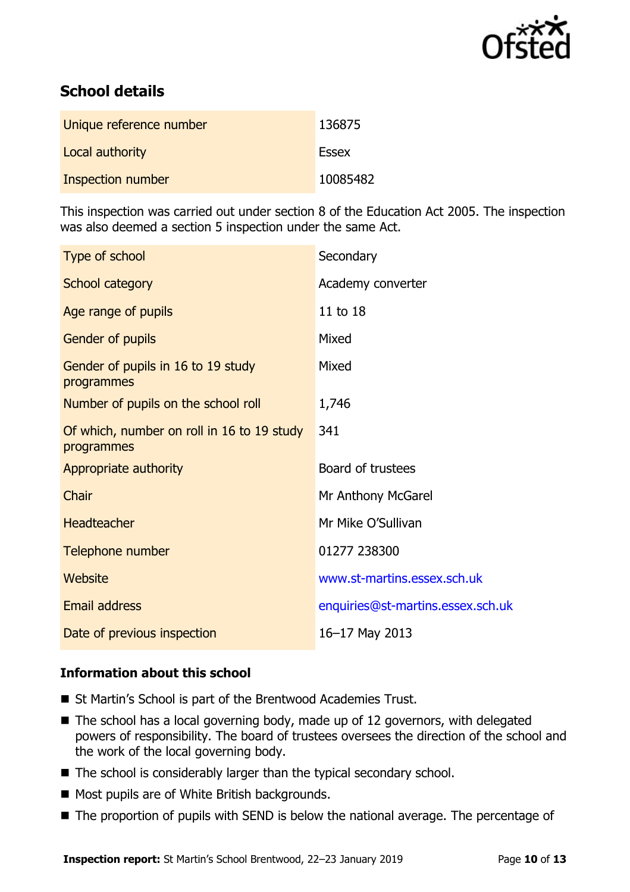

# **School details**

| Unique reference number | 136875   |
|-------------------------|----------|
| Local authority         | Essex    |
| Inspection number       | 10085482 |

This inspection was carried out under section 8 of the Education Act 2005. The inspection was also deemed a section 5 inspection under the same Act.

| Secondary                         |
|-----------------------------------|
| Academy converter                 |
| 11 to 18                          |
| Mixed                             |
| Mixed                             |
| 1,746                             |
| 341                               |
| Board of trustees                 |
| Mr Anthony McGarel                |
| Mr Mike O'Sullivan                |
| 01277 238300                      |
| www.st-martins.essex.sch.uk       |
| enquiries@st-martins.essex.sch.uk |
| 16-17 May 2013                    |
|                                   |

### **Information about this school**

- St Martin's School is part of the Brentwood Academies Trust.
- The school has a local governing body, made up of 12 governors, with delegated powers of responsibility. The board of trustees oversees the direction of the school and the work of the local governing body.
- $\blacksquare$  The school is considerably larger than the typical secondary school.
- **Most pupils are of White British backgrounds.**
- The proportion of pupils with SEND is below the national average. The percentage of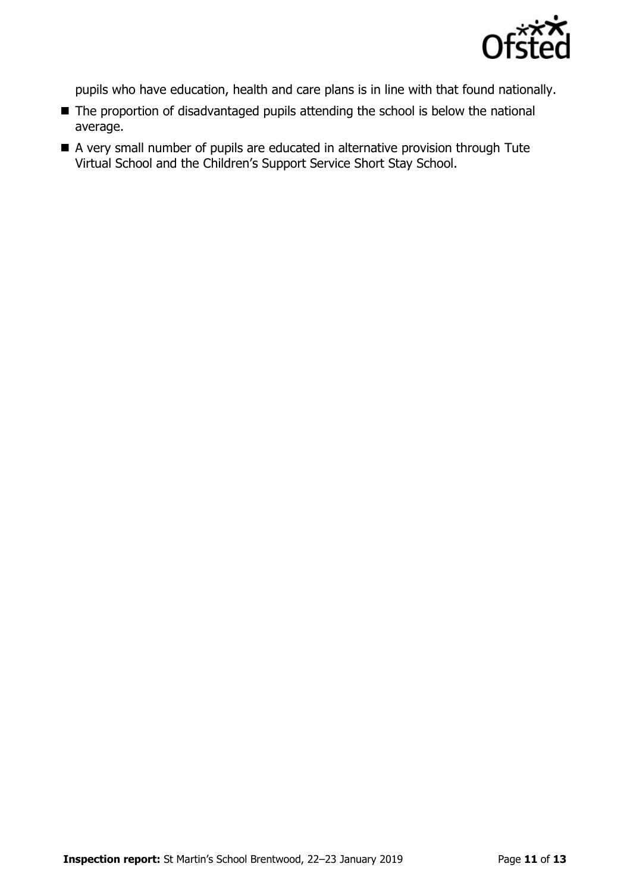

pupils who have education, health and care plans is in line with that found nationally.

- The proportion of disadvantaged pupils attending the school is below the national average.
- A very small number of pupils are educated in alternative provision through Tute Virtual School and the Children's Support Service Short Stay School.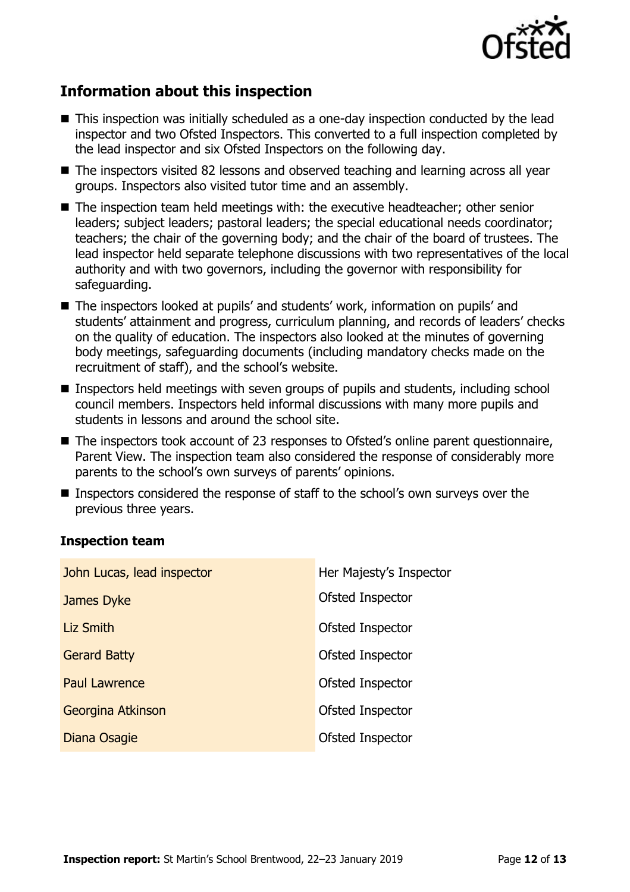

# **Information about this inspection**

- This inspection was initially scheduled as a one-day inspection conducted by the lead inspector and two Ofsted Inspectors. This converted to a full inspection completed by the lead inspector and six Ofsted Inspectors on the following day.
- The inspectors visited 82 lessons and observed teaching and learning across all year groups. Inspectors also visited tutor time and an assembly.
- The inspection team held meetings with: the executive headteacher; other senior leaders; subject leaders; pastoral leaders; the special educational needs coordinator; teachers; the chair of the governing body; and the chair of the board of trustees. The lead inspector held separate telephone discussions with two representatives of the local authority and with two governors, including the governor with responsibility for safeguarding.
- The inspectors looked at pupils' and students' work, information on pupils' and students' attainment and progress, curriculum planning, and records of leaders' checks on the quality of education. The inspectors also looked at the minutes of governing body meetings, safeguarding documents (including mandatory checks made on the recruitment of staff), and the school's website.
- Inspectors held meetings with seven groups of pupils and students, including school council members. Inspectors held informal discussions with many more pupils and students in lessons and around the school site.
- The inspectors took account of 23 responses to Ofsted's online parent questionnaire, Parent View. The inspection team also considered the response of considerably more parents to the school's own surveys of parents' opinions.
- Inspectors considered the response of staff to the school's own surveys over the previous three years.

#### **Inspection team**

| John Lucas, lead inspector | Her Majesty's Inspector |
|----------------------------|-------------------------|
| James Dyke                 | Ofsted Inspector        |
| <b>Liz Smith</b>           | Ofsted Inspector        |
| <b>Gerard Batty</b>        | Ofsted Inspector        |
| <b>Paul Lawrence</b>       | Ofsted Inspector        |
| Georgina Atkinson          | Ofsted Inspector        |
| Diana Osagie               | Ofsted Inspector        |